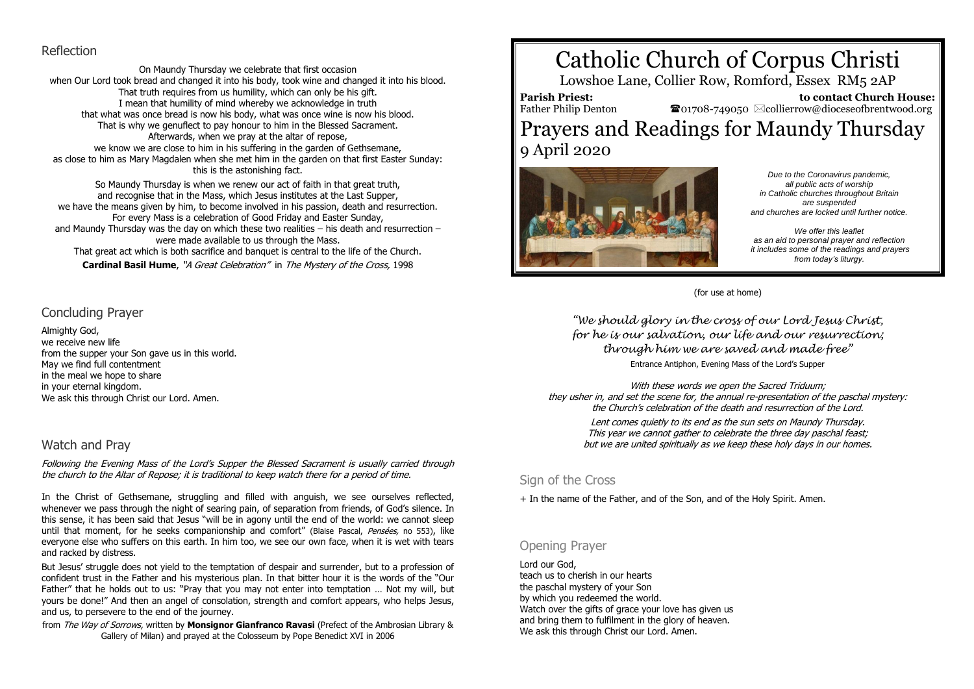## Reflection

On Maundy Thursday we celebrate that first occasion when Our Lord took bread and changed it into his body, took wine and changed it into his blood. That truth requires from us humility, which can only be his gift. I mean that humility of mind whereby we acknowledge in truth that what was once bread is now his body, what was once wine is now his blood. That is why we genuflect to pay honour to him in the Blessed Sacrament. Afterwards, when we pray at the altar of repose, we know we are close to him in his suffering in the garden of Gethsemane, as close to him as Mary Magdalen when she met him in the garden on that first Easter Sunday: this is the astonishing fact.

So Maundy Thursday is when we renew our act of faith in that great truth, and recognise that in the Mass, which Jesus institutes at the Last Supper, we have the means given by him, to become involved in his passion, death and resurrection. For every Mass is a celebration of Good Friday and Easter Sunday, and Maundy Thursday was the day on which these two realities – his death and resurrection – were made available to us through the Mass. That great act which is both sacrifice and banquet is central to the life of the Church. **Cardinal Basil Hume**, "A Great Celebration" in The Mystery of the Cross, 1998

# Concluding Prayer

Almighty God, we receive new life from the supper your Son gave us in this world. May we find full contentment in the meal we hope to share in your eternal kingdom. We ask this through Christ our Lord. Amen.

# Watch and Pray

Following the Evening Mass of the Lord's Supper the Blessed Sacrament is usually carried through the church to the Altar of Repose; it is traditional to keep watch there for a period of time.

In the Christ of Gethsemane, struggling and filled with anguish, we see ourselves reflected, whenever we pass through the night of searing pain, of separation from friends, of God's silence. In this sense, it has been said that Jesus "will be in agony until the end of the world: we cannot sleep until that moment, for he seeks companionship and comfort" (Blaise Pascal, Pensées, no 553), like everyone else who suffers on this earth. In him too, we see our own face, when it is wet with tears and racked by distress.

But Jesus' struggle does not yield to the temptation of despair and surrender, but to a profession of confident trust in the Father and his mysterious plan. In that bitter hour it is the words of the "Our Father" that he holds out to us: "Pray that you may not enter into temptation … Not my will, but yours be done!" And then an angel of consolation, strength and comfort appears, who helps Jesus, and us, to persevere to the end of the journey.

from The Way of Sorrows, written by **Monsignor Gianfranco Ravasi** (Prefect of the Ambrosian Library & Gallery of Milan) and prayed at the Colosseum by Pope Benedict XVI in 2006

# Catholic Church of Corpus Christi

Lowshoe Lane, Collier Row, Romford, Essex RM5 2AP

**Parish Priest:** Father Philip Denton  **to contact Church House:**  $\bullet$ 01708-749050  $\boxtimes$ collierrow@dioceseofbrentwood.org Prayers and Readings for Maundy Thursday 9 April 2020



*Due to the Coronavirus pandemic, all public acts of worship in Catholic churches throughout Britain are suspended and churches are locked until further notice.*

*We offer this leaflet as an aid to personal prayer and reflection it includes some of the readings and prayers from today's liturgy.*

(for use at home)

*"We should glory in the cross of our Lord Jesus Christ, for he is our salvation, our life and our resurrection; through him we are saved and made free"* Entrance Antiphon, Evening Mass of the Lord's Supper

With these words we open the Sacred Triduum; they usher in, and set the scene for, the annual re-presentation of the paschal mystery: the Church's celebration of the death and resurrection of the Lord.

Lent comes quietly to its end as the sun sets on Maundy Thursday. This year we cannot gather to celebrate the three day paschal feast; but we are united spiritually as we keep these holy days in our homes.

# Sign of the Cross

+ In the name of the Father, and of the Son, and of the Holy Spirit. Amen.

# Opening Prayer

Lord our God, teach us to cherish in our hearts the paschal mystery of your Son by which you redeemed the world. Watch over the gifts of grace your love has given us and bring them to fulfilment in the glory of heaven. We ask this through Christ our Lord. Amen.